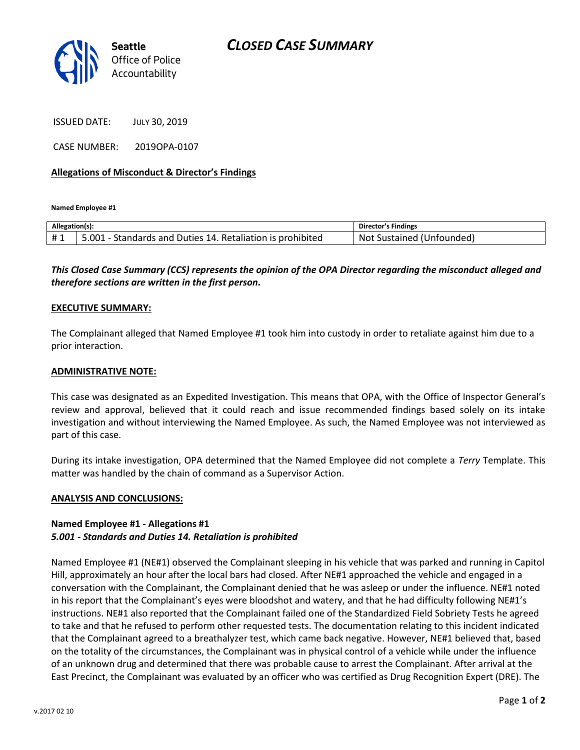

ISSUED DATE: JULY 30, 2019

CASE NUMBER: 2019OPA-0107

#### **Allegations of Misconduct & Director's Findings**

**Named Employee #1**

| Allegation(s): |                                                            | <b>Director's Findings</b> |
|----------------|------------------------------------------------------------|----------------------------|
| <b>H</b> 1     | 5.001 - Standards and Duties 14. Retaliation is prohibited | Not Sustained (Unfounded)  |

## *This Closed Case Summary (CCS) represents the opinion of the OPA Director regarding the misconduct alleged and therefore sections are written in the first person.*

#### **EXECUTIVE SUMMARY:**

The Complainant alleged that Named Employee #1 took him into custody in order to retaliate against him due to a prior interaction.

#### **ADMINISTRATIVE NOTE:**

This case was designated as an Expedited Investigation. This means that OPA, with the Office of Inspector General's review and approval, believed that it could reach and issue recommended findings based solely on its intake investigation and without interviewing the Named Employee. As such, the Named Employee was not interviewed as part of this case.

During its intake investigation, OPA determined that the Named Employee did not complete a *Terry* Template. This matter was handled by the chain of command as a Supervisor Action.

#### **ANALYSIS AND CONCLUSIONS:**

### **Named Employee #1 - Allegations #1** *5.001 - Standards and Duties 14. Retaliation is prohibited*

Named Employee #1 (NE#1) observed the Complainant sleeping in his vehicle that was parked and running in Capitol Hill, approximately an hour after the local bars had closed. After NE#1 approached the vehicle and engaged in a conversation with the Complainant, the Complainant denied that he was asleep or under the influence. NE#1 noted in his report that the Complainant's eyes were bloodshot and watery, and that he had difficulty following NE#1's instructions. NE#1 also reported that the Complainant failed one of the Standardized Field Sobriety Tests he agreed to take and that he refused to perform other requested tests. The documentation relating to this incident indicated that the Complainant agreed to a breathalyzer test, which came back negative. However, NE#1 believed that, based on the totality of the circumstances, the Complainant was in physical control of a vehicle while under the influence of an unknown drug and determined that there was probable cause to arrest the Complainant. After arrival at the East Precinct, the Complainant was evaluated by an officer who was certified as Drug Recognition Expert (DRE). The